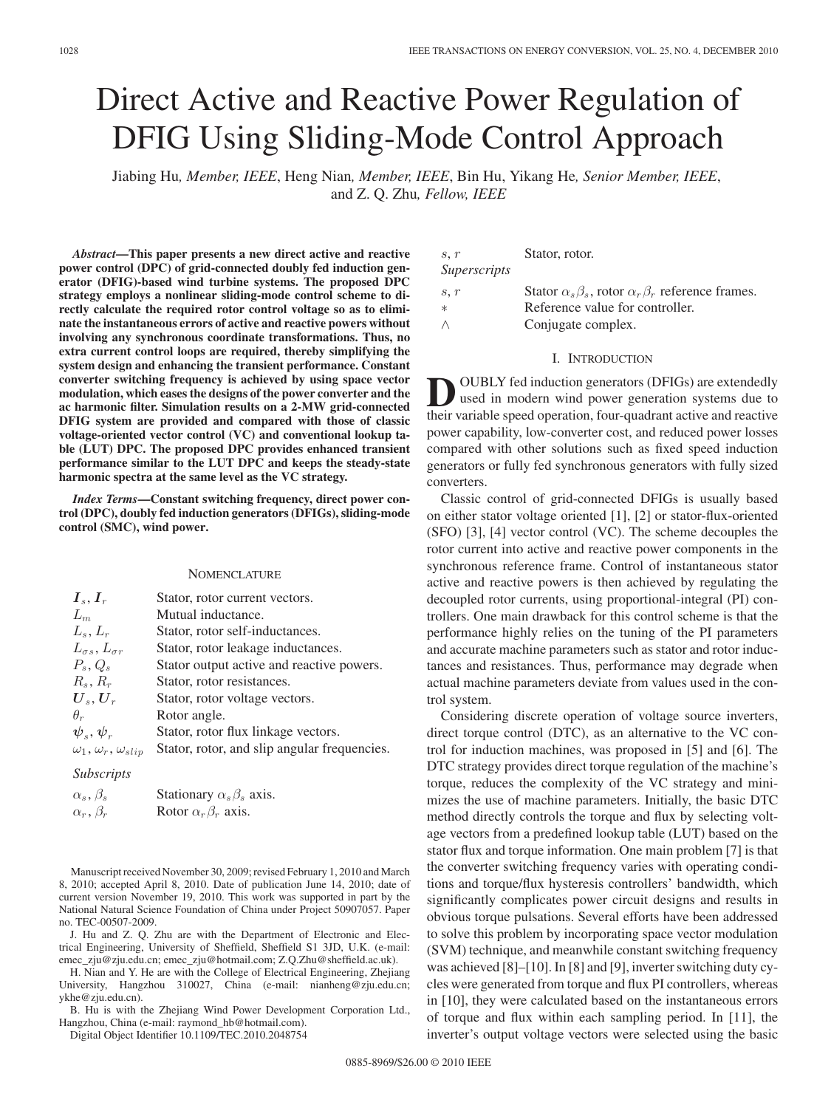# Direct Active and Reactive Power Regulation of DFIG Using Sliding-Mode Control Approach

Jiabing Hu*, Member, IEEE*, Heng Nian*, Member, IEEE*, Bin Hu, Yikang He*, Senior Member, IEEE*, and Z. Q. Zhu*, Fellow, IEEE*

*Abstract***—This paper presents a new direct active and reactive power control (DPC) of grid-connected doubly fed induction generator (DFIG)-based wind turbine systems. The proposed DPC strategy employs a nonlinear sliding-mode control scheme to directly calculate the required rotor control voltage so as to eliminate the instantaneous errors of active and reactive powers without involving any synchronous coordinate transformations. Thus, no extra current control loops are required, thereby simplifying the system design and enhancing the transient performance. Constant converter switching frequency is achieved by using space vector modulation, which eases the designs of the power converter and the ac harmonic filter. Simulation results on a 2-MW grid-connected DFIG system are provided and compared with those of classic voltage-oriented vector control (VC) and conventional lookup table (LUT) DPC. The proposed DPC provides enhanced transient performance similar to the LUT DPC and keeps the steady-state harmonic spectra at the same level as the VC strategy.**

*Index Terms***—Constant switching frequency, direct power control (DPC), doubly fed induction generators (DFIGs), sliding-mode control (SMC), wind power.**

#### **NOMENCLATURE**

| $\boldsymbol{I}_s, \boldsymbol{I}_r$       | Stator, rotor current vectors.               |
|--------------------------------------------|----------------------------------------------|
| $L_m$                                      | Mutual inductance.                           |
| $L_s, L_r$                                 | Stator, rotor self-inductances.              |
| $L_{\sigma s}$ , $L_{\sigma r}$            | Stator, rotor leakage inductances.           |
| $P_s, Q_s$                                 | Stator output active and reactive powers.    |
| $R_s, R_r$                                 | Stator, rotor resistances.                   |
| $\boldsymbol{U}_{s},\boldsymbol{U}_{r}$    | Stator, rotor voltage vectors.               |
| $\theta_r$                                 | Rotor angle.                                 |
| $\boldsymbol{\psi}_s, \boldsymbol{\psi}_r$ | Stator, rotor flux linkage vectors.          |
| $\omega_1, \omega_r, \omega_{slip}$        | Stator, rotor, and slip angular frequencies. |
|                                            |                                              |

#### *Subscripts*

| $\alpha_s, \beta_s$ | Stationary $\alpha_s \beta_s$ axis. |
|---------------------|-------------------------------------|
| $\alpha_r, \beta_r$ | Rotor $\alpha_r \beta_r$ axis.      |

Manuscript received November 30, 2009; revised February 1, 2010 and March 8, 2010; accepted April 8, 2010. Date of publication June 14, 2010; date of current version November 19, 2010. This work was supported in part by the National Natural Science Foundation of China under Project 50907057. Paper no. TEC-00507-2009.

J. Hu and Z. Q. Zhu are with the Department of Electronic and Electrical Engineering, University of Sheffield, Sheffield S1 3JD, U.K. (e-mail: emec\_zju@zju.edu.cn; emec\_zju@hotmail.com; Z.Q.Zhu@sheffield.ac.uk).

H. Nian and Y. He are with the College of Electrical Engineering, Zhejiang University, Hangzhou 310027, China (e-mail: nianheng@zju.edu.cn; ykhe@zju.edu.cn).

B. Hu is with the Zhejiang Wind Power Development Corporation Ltd., Hangzhou, China (e-mail: raymond\_hb@hotmail.com).

Digital Object Identifier 10.1109/TEC.2010.2048754

## s, r Stator, rotor.

*Superscripts* s, r Stator  $\alpha_s \beta_s$ , rotor  $\alpha_r \beta_r$  reference frames. Reference value for controller.

∧ Conjugate complex.

#### I. INTRODUCTION

**OUBLY** fed induction generators (DFIGs) are extendedly used in modern wind power generation systems due to their variable speed operation, four-quadrant active and reactive power capability, low-converter cost, and reduced power losses compared with other solutions such as fixed speed induction generators or fully fed synchronous generators with fully sized converters.

Classic control of grid-connected DFIGs is usually based on either stator voltage oriented [1], [2] or stator-flux-oriented (SFO) [3], [4] vector control (VC). The scheme decouples the rotor current into active and reactive power components in the synchronous reference frame. Control of instantaneous stator active and reactive powers is then achieved by regulating the decoupled rotor currents, using proportional-integral (PI) controllers. One main drawback for this control scheme is that the performance highly relies on the tuning of the PI parameters and accurate machine parameters such as stator and rotor inductances and resistances. Thus, performance may degrade when actual machine parameters deviate from values used in the control system.

Considering discrete operation of voltage source inverters, direct torque control (DTC), as an alternative to the VC control for induction machines, was proposed in [5] and [6]. The DTC strategy provides direct torque regulation of the machine's torque, reduces the complexity of the VC strategy and minimizes the use of machine parameters. Initially, the basic DTC method directly controls the torque and flux by selecting voltage vectors from a predefined lookup table (LUT) based on the stator flux and torque information. One main problem [7] is that the converter switching frequency varies with operating conditions and torque/flux hysteresis controllers' bandwidth, which significantly complicates power circuit designs and results in obvious torque pulsations. Several efforts have been addressed to solve this problem by incorporating space vector modulation (SVM) technique, and meanwhile constant switching frequency was achieved [8]–[10]. In [8] and [9], inverter switching duty cycles were generated from torque and flux PI controllers, whereas in [10], they were calculated based on the instantaneous errors of torque and flux within each sampling period. In [11], the inverter's output voltage vectors were selected using the basic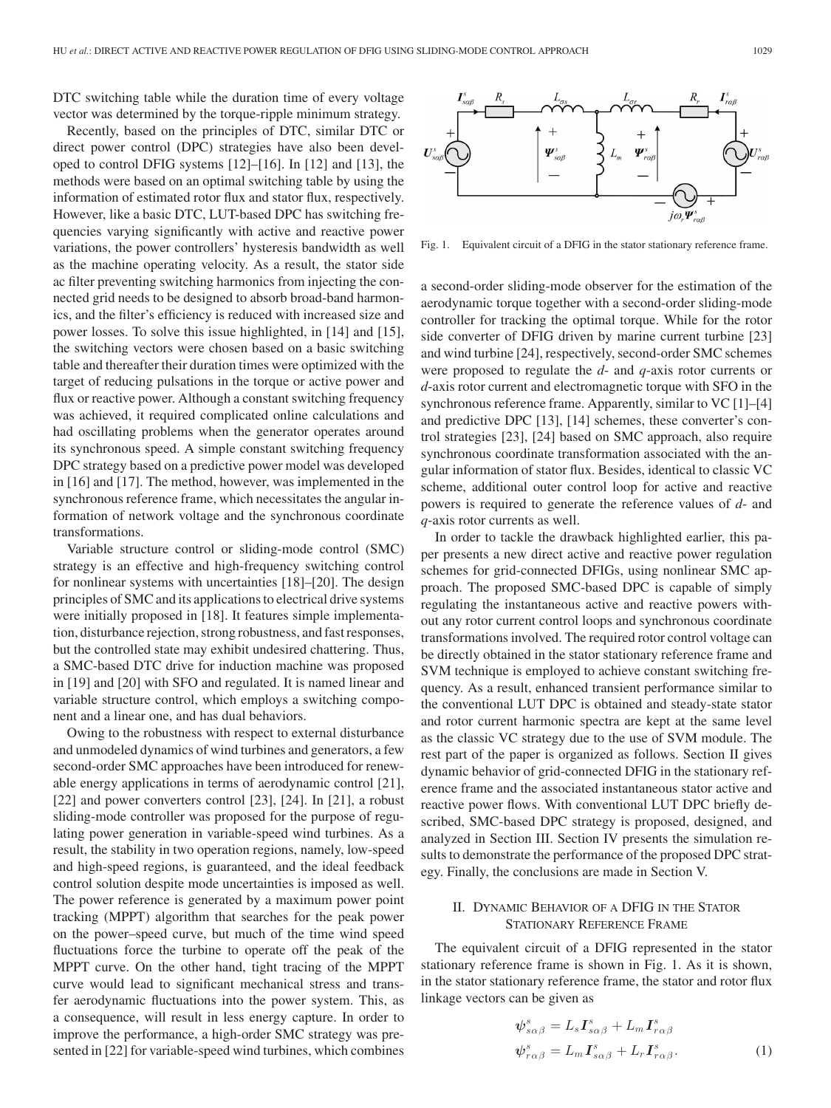DTC switching table while the duration time of every voltage vector was determined by the torque-ripple minimum strategy.

Recently, based on the principles of DTC, similar DTC or direct power control (DPC) strategies have also been developed to control DFIG systems [12]–[16]. In [12] and [13], the methods were based on an optimal switching table by using the information of estimated rotor flux and stator flux, respectively. However, like a basic DTC, LUT-based DPC has switching frequencies varying significantly with active and reactive power variations, the power controllers' hysteresis bandwidth as well as the machine operating velocity. As a result, the stator side ac filter preventing switching harmonics from injecting the connected grid needs to be designed to absorb broad-band harmonics, and the filter's efficiency is reduced with increased size and power losses. To solve this issue highlighted, in [14] and [15], the switching vectors were chosen based on a basic switching table and thereafter their duration times were optimized with the target of reducing pulsations in the torque or active power and flux or reactive power. Although a constant switching frequency was achieved, it required complicated online calculations and had oscillating problems when the generator operates around its synchronous speed. A simple constant switching frequency DPC strategy based on a predictive power model was developed in [16] and [17]. The method, however, was implemented in the synchronous reference frame, which necessitates the angular information of network voltage and the synchronous coordinate transformations.

Variable structure control or sliding-mode control (SMC) strategy is an effective and high-frequency switching control for nonlinear systems with uncertainties [18]–[20]. The design principles of SMC and its applications to electrical drive systems were initially proposed in [18]. It features simple implementation, disturbance rejection, strong robustness, and fast responses, but the controlled state may exhibit undesired chattering. Thus, a SMC-based DTC drive for induction machine was proposed in [19] and [20] with SFO and regulated. It is named linear and variable structure control, which employs a switching component and a linear one, and has dual behaviors.

Owing to the robustness with respect to external disturbance and unmodeled dynamics of wind turbines and generators, a few second-order SMC approaches have been introduced for renewable energy applications in terms of aerodynamic control [21], [22] and power converters control [23], [24]. In [21], a robust sliding-mode controller was proposed for the purpose of regulating power generation in variable-speed wind turbines. As a result, the stability in two operation regions, namely, low-speed and high-speed regions, is guaranteed, and the ideal feedback control solution despite mode uncertainties is imposed as well. The power reference is generated by a maximum power point tracking (MPPT) algorithm that searches for the peak power on the power–speed curve, but much of the time wind speed fluctuations force the turbine to operate off the peak of the MPPT curve. On the other hand, tight tracing of the MPPT curve would lead to significant mechanical stress and transfer aerodynamic fluctuations into the power system. This, as a consequence, will result in less energy capture. In order to improve the performance, a high-order SMC strategy was presented in [22] for variable-speed wind turbines, which combines



Fig. 1. Equivalent circuit of a DFIG in the stator stationary reference frame.

a second-order sliding-mode observer for the estimation of the aerodynamic torque together with a second-order sliding-mode controller for tracking the optimal torque. While for the rotor side converter of DFIG driven by marine current turbine [23] and wind turbine [24], respectively, second-order SMC schemes were proposed to regulate the *d*- and *q*-axis rotor currents or *d*-axis rotor current and electromagnetic torque with SFO in the synchronous reference frame. Apparently, similar to VC [1]–[4] and predictive DPC [13], [14] schemes, these converter's control strategies [23], [24] based on SMC approach, also require synchronous coordinate transformation associated with the angular information of stator flux. Besides, identical to classic VC scheme, additional outer control loop for active and reactive powers is required to generate the reference values of *d*- and *q*-axis rotor currents as well.

In order to tackle the drawback highlighted earlier, this paper presents a new direct active and reactive power regulation schemes for grid-connected DFIGs, using nonlinear SMC approach. The proposed SMC-based DPC is capable of simply regulating the instantaneous active and reactive powers without any rotor current control loops and synchronous coordinate transformations involved. The required rotor control voltage can be directly obtained in the stator stationary reference frame and SVM technique is employed to achieve constant switching frequency. As a result, enhanced transient performance similar to the conventional LUT DPC is obtained and steady-state stator and rotor current harmonic spectra are kept at the same level as the classic VC strategy due to the use of SVM module. The rest part of the paper is organized as follows. Section II gives dynamic behavior of grid-connected DFIG in the stationary reference frame and the associated instantaneous stator active and reactive power flows. With conventional LUT DPC briefly described, SMC-based DPC strategy is proposed, designed, and analyzed in Section III. Section IV presents the simulation results to demonstrate the performance of the proposed DPC strategy. Finally, the conclusions are made in Section V.

## II. DYNAMIC BEHAVIOR OF A DFIG IN THE STATOR STATIONARY REFERENCE FRAME

The equivalent circuit of a DFIG represented in the stator stationary reference frame is shown in Fig. 1. As it is shown, in the stator stationary reference frame, the stator and rotor flux linkage vectors can be given as

$$
\begin{aligned} \psi_{s\alpha\beta}^s &= L_s \mathbf{I}_{s\alpha\beta}^s + L_m \mathbf{I}_{r\alpha\beta}^s \\ \psi_{r\alpha\beta}^s &= L_m \mathbf{I}_{s\alpha\beta}^s + L_r \mathbf{I}_{r\alpha\beta}^s. \end{aligned} \tag{1}
$$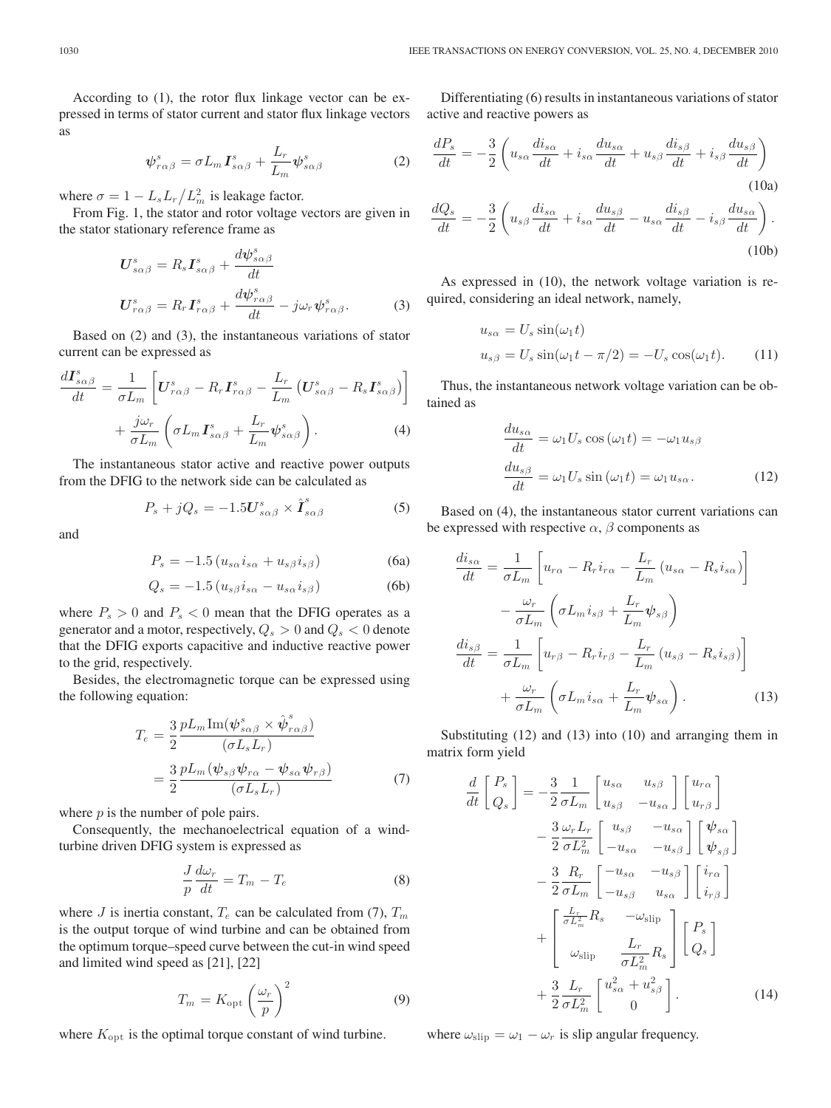According to (1), the rotor flux linkage vector can be expressed in terms of stator current and stator flux linkage vectors as

$$
\psi_{r\alpha\beta}^{s} = \sigma L_m \mathbf{I}_{s\alpha\beta}^{s} + \frac{L_r}{L_m} \psi_{s\alpha\beta}^{s}
$$
 (2)

where  $\sigma = 1 - L_s L_r / L_m^2$  is leakage factor.

From Fig. 1, the stator and rotor voltage vectors are given in the stator stationary reference frame as

$$
U_{s\alpha\beta}^{s} = R_{s}I_{s\alpha\beta}^{s} + \frac{d\psi_{s\alpha\beta}^{s}}{dt}
$$
  

$$
U_{r\alpha\beta}^{s} = R_{r}I_{r\alpha\beta}^{s} + \frac{d\psi_{r\alpha\beta}^{s}}{dt} - j\omega_{r}\psi_{r\alpha\beta}^{s}.
$$
 (3)

Based on (2) and (3), the instantaneous variations of stator current can be expressed as

$$
\frac{d\boldsymbol{I}_{s\alpha\beta}^{s}}{dt} = \frac{1}{\sigma L_{m}} \left[ \boldsymbol{U}_{r\alpha\beta}^{s} - R_{r} \boldsymbol{I}_{r\alpha\beta}^{s} - \frac{L_{r}}{L_{m}} \left( \boldsymbol{U}_{s\alpha\beta}^{s} - R_{s} \boldsymbol{I}_{s\alpha\beta}^{s} \right) \right] + \frac{j\omega_{r}}{\sigma L_{m}} \left( \sigma L_{m} \boldsymbol{I}_{s\alpha\beta}^{s} + \frac{L_{r}}{L_{m}} \boldsymbol{\psi}_{s\alpha\beta}^{s} \right). \tag{4}
$$

The instantaneous stator active and reactive power outputs from the DFIG to the network side can be calculated as

$$
P_s + jQ_s = -1.5U_{s\alpha\beta}^s \times \hat{\boldsymbol{I}}_{s\alpha\beta}^s \tag{5}
$$

and

$$
P_s = -1.5 \left( u_{s\alpha} i_{s\alpha} + u_{s\beta} i_{s\beta} \right) \tag{6a}
$$

$$
Q_s = -1.5 \left( u_{s\beta} i_{s\alpha} - u_{s\alpha} i_{s\beta} \right) \tag{6b}
$$

where  $P_s > 0$  and  $P_s < 0$  mean that the DFIG operates as a generator and a motor, respectively,  $Q_s > 0$  and  $Q_s < 0$  denote that the DFIG exports capacitive and inductive reactive power to the grid, respectively.

Besides, the electromagnetic torque can be expressed using the following equation:

$$
T_e = \frac{3}{2} \frac{pL_m \text{Im}(\psi_{s\alpha\beta}^s \times \hat{\psi}_{r\alpha\beta}^s)}{(\sigma L_s L_r)}
$$
  
= 
$$
\frac{3}{2} \frac{pL_m(\psi_{s\beta}\psi_{r\alpha} - \psi_{s\alpha}\psi_{r\beta})}{(\sigma L_s L_r)}
$$
(7)

where  $p$  is the number of pole pairs.

Consequently, the mechanoelectrical equation of a windturbine driven DFIG system is expressed as

$$
\frac{J}{p}\frac{d\omega_r}{dt} = T_m - T_e \tag{8}
$$

where J is inertia constant,  $T_e$  can be calculated from (7),  $T_m$ is the output torque of wind turbine and can be obtained from the optimum torque–speed curve between the cut-in wind speed and limited wind speed as [21], [22]

$$
T_m = K_{\rm opt} \left(\frac{\omega_r}{p}\right)^2 \tag{9}
$$

where  $K_{\text{opt}}$  is the optimal torque constant of wind turbine.

Differentiating (6) results in instantaneous variations of stator active and reactive powers as

$$
\frac{dP_s}{dt} = -\frac{3}{2} \left( u_{s\alpha} \frac{di_{s\alpha}}{dt} + i_{s\alpha} \frac{du_{s\alpha}}{dt} + u_{s\beta} \frac{di_{s\beta}}{dt} + i_{s\beta} \frac{du_{s\beta}}{dt} \right)
$$
\n(10a)

$$
\frac{dQ_s}{dt} = -\frac{3}{2} \left( u_{s\beta} \frac{di_{s\alpha}}{dt} + i_{s\alpha} \frac{du_{s\beta}}{dt} - u_{s\alpha} \frac{di_{s\beta}}{dt} - i_{s\beta} \frac{du_{s\alpha}}{dt} \right).
$$
\n(10b)

As expressed in (10), the network voltage variation is required, considering an ideal network, namely,

$$
u_{s\alpha} = U_s \sin(\omega_1 t)
$$
  
\n
$$
u_{s\beta} = U_s \sin(\omega_1 t - \pi/2) = -U_s \cos(\omega_1 t).
$$
 (11)

Thus, the instantaneous network voltage variation can be obtained as

$$
\frac{du_{s\alpha}}{dt} = \omega_1 U_s \cos(\omega_1 t) = -\omega_1 u_{s\beta}
$$

$$
\frac{du_{s\beta}}{dt} = \omega_1 U_s \sin(\omega_1 t) = \omega_1 u_{s\alpha}.
$$
 (12)

Based on (4), the instantaneous stator current variations can be expressed with respective  $\alpha$ ,  $\beta$  components as

$$
\frac{di_{s\alpha}}{dt} = \frac{1}{\sigma L_m} \left[ u_{r\alpha} - R_r i_{r\alpha} - \frac{L_r}{L_m} (u_{s\alpha} - R_s i_{s\alpha}) \right]
$$

$$
- \frac{\omega_r}{\sigma L_m} \left( \sigma L_m i_{s\beta} + \frac{L_r}{L_m} \psi_{s\beta} \right)
$$

$$
\frac{di_{s\beta}}{dt} = \frac{1}{\sigma L_m} \left[ u_{r\beta} - R_r i_{r\beta} - \frac{L_r}{L_m} (u_{s\beta} - R_s i_{s\beta}) \right]
$$

$$
+ \frac{\omega_r}{\sigma L_m} \left( \sigma L_m i_{s\alpha} + \frac{L_r}{L_m} \psi_{s\alpha} \right). \tag{13}
$$

Substituting  $(12)$  and  $(13)$  into  $(10)$  and arranging them in matrix form yield

$$
\frac{d}{dt} \begin{bmatrix} P_s \\ Q_s \end{bmatrix} = -\frac{3}{2} \frac{1}{\sigma L_m} \begin{bmatrix} u_{s\alpha} & u_{s\beta} \\ u_{s\beta} & -u_{s\alpha} \end{bmatrix} \begin{bmatrix} u_{r\alpha} \\ u_{r\beta} \end{bmatrix} \n- \frac{3}{2} \frac{\omega_r L_r}{\sigma L_m^2} \begin{bmatrix} u_{s\beta} & -u_{s\alpha} \\ -u_{s\alpha} & -u_{s\beta} \end{bmatrix} \begin{bmatrix} \psi_{s\alpha} \\ \psi_{s\beta} \end{bmatrix} \n- \frac{3}{2} \frac{R_r}{\sigma L_m} \begin{bmatrix} -u_{s\alpha} & -u_{s\beta} \\ -u_{s\beta} & u_{s\alpha} \end{bmatrix} \begin{bmatrix} i_{r\alpha} \\ i_{r\beta} \end{bmatrix} \n+ \begin{bmatrix} \frac{L_r}{\sigma L_m^2} R_s & -\omega_{\text{slip}} \\ \omega_{\text{slip}} & \frac{L_r}{\sigma L_m^2} R_s \end{bmatrix} \begin{bmatrix} P_s \\ Q_s \end{bmatrix} \n+ \frac{3}{2} \frac{L_r}{\sigma L_m^2} \begin{bmatrix} u_{s\alpha}^2 + u_{s\beta}^2 \\ 0 \end{bmatrix}.
$$
\n(14)

where  $\omega_{\rm slip} = \omega_1 - \omega_r$  is slip angular frequency.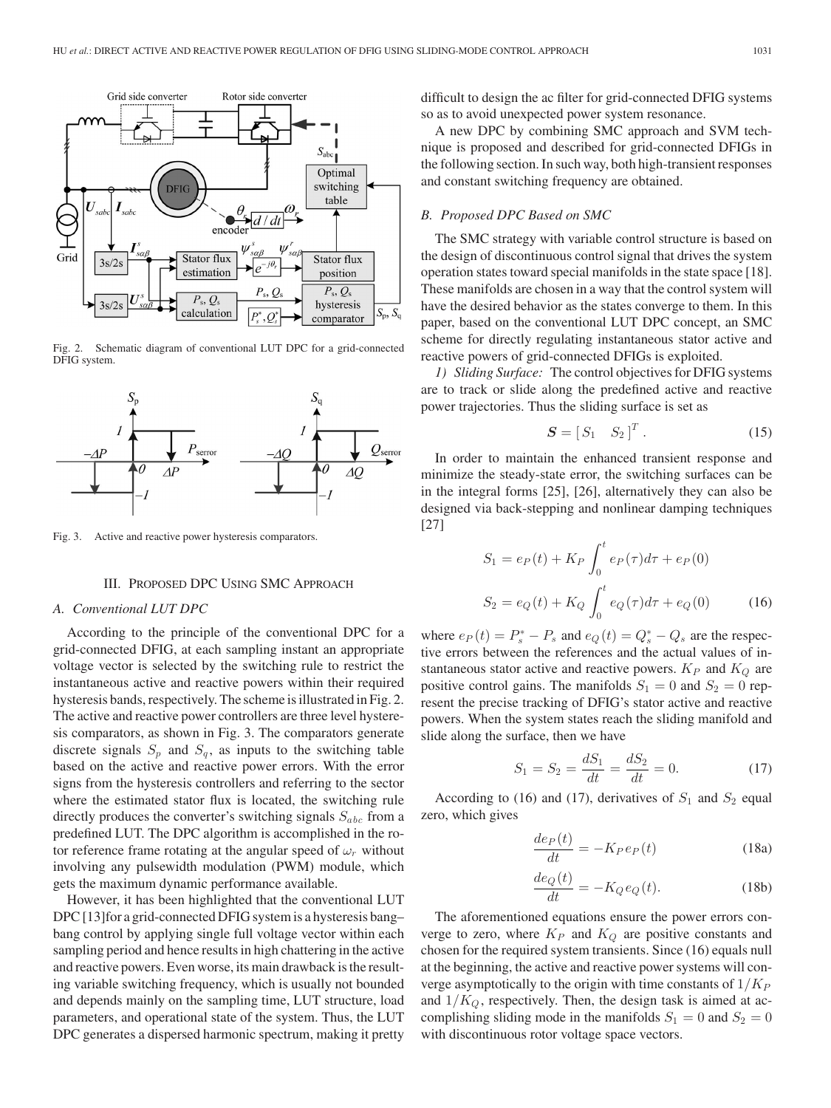

Fig. 2. Schematic diagram of conventional LUT DPC for a grid-connected DFIG system.



Fig. 3. Active and reactive power hysteresis comparators.

#### III. PROPOSED DPC USING SMC APPROACH

### *A. Conventional LUT DPC*

According to the principle of the conventional DPC for a grid-connected DFIG, at each sampling instant an appropriate voltage vector is selected by the switching rule to restrict the instantaneous active and reactive powers within their required hysteresis bands, respectively. The scheme is illustrated in Fig. 2. The active and reactive power controllers are three level hysteresis comparators, as shown in Fig. 3. The comparators generate discrete signals  $S_p$  and  $S_q$ , as inputs to the switching table based on the active and reactive power errors. With the error signs from the hysteresis controllers and referring to the sector where the estimated stator flux is located, the switching rule directly produces the converter's switching signals  $S_{abc}$  from a predefined LUT. The DPC algorithm is accomplished in the rotor reference frame rotating at the angular speed of  $\omega_r$  without involving any pulsewidth modulation (PWM) module, which gets the maximum dynamic performance available.

However, it has been highlighted that the conventional LUT DPC [13]for a grid-connected DFIG system is a hysteresis bang– bang control by applying single full voltage vector within each sampling period and hence results in high chattering in the active and reactive powers. Even worse, its main drawback is the resulting variable switching frequency, which is usually not bounded and depends mainly on the sampling time, LUT structure, load parameters, and operational state of the system. Thus, the LUT DPC generates a dispersed harmonic spectrum, making it pretty difficult to design the ac filter for grid-connected DFIG systems so as to avoid unexpected power system resonance.

A new DPC by combining SMC approach and SVM technique is proposed and described for grid-connected DFIGs in the following section. In such way, both high-transient responses and constant switching frequency are obtained.

#### *B. Proposed DPC Based on SMC*

The SMC strategy with variable control structure is based on the design of discontinuous control signal that drives the system operation states toward special manifolds in the state space [18]. These manifolds are chosen in a way that the control system will have the desired behavior as the states converge to them. In this paper, based on the conventional LUT DPC concept, an SMC scheme for directly regulating instantaneous stator active and reactive powers of grid-connected DFIGs is exploited.

*1) Sliding Surface:* The control objectives for DFIG systems are to track or slide along the predefined active and reactive power trajectories. Thus the sliding surface is set as

$$
\boldsymbol{S} = \begin{bmatrix} S_1 & S_2 \end{bmatrix}^T. \tag{15}
$$

In order to maintain the enhanced transient response and minimize the steady-state error, the switching surfaces can be in the integral forms [25], [26], alternatively they can also be designed via back-stepping and nonlinear damping techniques [27]

$$
S_1 = e_P(t) + K_P \int_0^t e_P(\tau) d\tau + e_P(0)
$$
  
\n
$$
S_2 = e_Q(t) + K_Q \int_0^t e_Q(\tau) d\tau + e_Q(0)
$$
 (16)

where  $e_P(t) = P_s^* - P_s$  and  $e_Q(t) = Q_s^* - Q_s$  are the respective errors between the references and the actual values of instantaneous stator active and reactive powers.  $K_P$  and  $K_Q$  are positive control gains. The manifolds  $S_1 = 0$  and  $S_2 = 0$  represent the precise tracking of DFIG's stator active and reactive powers. When the system states reach the sliding manifold and slide along the surface, then we have

$$
S_1 = S_2 = \frac{dS_1}{dt} = \frac{dS_2}{dt} = 0.
$$
 (17)

According to (16) and (17), derivatives of  $S_1$  and  $S_2$  equal zero, which gives

$$
\frac{de_P(t)}{dt} = -K_P e_P(t)
$$
\n(18a)

$$
\frac{de_Q(t)}{dt} = -K_Q e_Q(t). \tag{18b}
$$

The aforementioned equations ensure the power errors converge to zero, where  $K_P$  and  $K_Q$  are positive constants and chosen for the required system transients. Since (16) equals null at the beginning, the active and reactive power systems will converge asymptotically to the origin with time constants of  $1/K_P$ and  $1/K_Q$ , respectively. Then, the design task is aimed at accomplishing sliding mode in the manifolds  $S_1 = 0$  and  $S_2 = 0$ with discontinuous rotor voltage space vectors.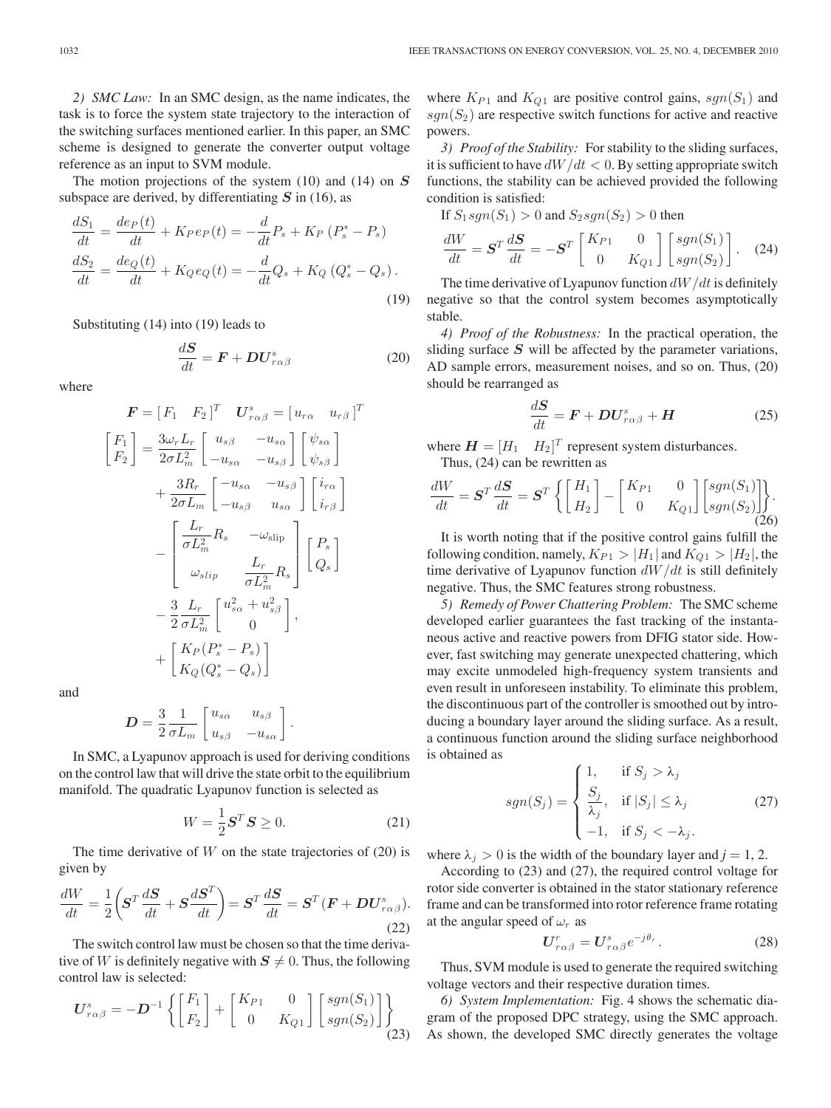*2) SMC Law:* In an SMC design, as the name indicates, the task is to force the system state trajectory to the interaction of the switching surfaces mentioned earlier. In this paper, an SMC scheme is designed to generate the converter output voltage reference as an input to SVM module.

The motion projections of the system (10) and (14) on *S* subspace are derived, by differentiating *S* in (16), as

$$
\frac{dS_1}{dt} = \frac{de_P(t)}{dt} + K_P e_P(t) = -\frac{d}{dt} P_s + K_P (P_s^* - P_s)
$$
  
\n
$$
\frac{dS_2}{dt} = \frac{de_Q(t)}{dt} + K_Q e_Q(t) = -\frac{d}{dt} Q_s + K_Q (Q_s^* - Q_s).
$$
\n(19)

Substituting (14) into (19) leads to

$$
\frac{dS}{dt} = F + DU_{r\alpha\beta}^s \tag{20}
$$

where

$$
\mathbf{F} = [F_1 \quad F_2]^T \quad \mathbf{U}_{r\alpha\beta}^s = [u_{r\alpha} \quad u_{r\beta}]^T
$$
\n
$$
\begin{bmatrix} F_1 \\ F_2 \end{bmatrix} = \frac{3\omega_r L_r}{2\sigma L_m^2} \begin{bmatrix} u_{s\beta} & -u_{s\alpha} \\ -u_{s\alpha} & -u_{s\beta} \end{bmatrix} \begin{bmatrix} \psi_{s\alpha} \\ \psi_{s\beta} \end{bmatrix}
$$
\n
$$
+ \frac{3R_r}{2\sigma L_m} \begin{bmatrix} -u_{s\alpha} & -u_{s\beta} \\ -u_{s\beta} & u_{s\alpha} \end{bmatrix} \begin{bmatrix} i_{r\alpha} \\ i_{r\beta} \end{bmatrix}
$$
\n
$$
- \begin{bmatrix} \frac{L_r}{\sigma L_m^2} R_s & -\omega_{\text{slip}} \\ \omega_{slip} & \frac{L_r}{\sigma L_m^2} R_s \end{bmatrix} \begin{bmatrix} P_s \\ Q_s \end{bmatrix}
$$
\n
$$
- \frac{3}{2} \frac{L_r}{\sigma L_m^2} \begin{bmatrix} u_{s\alpha}^2 + u_{s\beta}^2 \\ 0 \end{bmatrix},
$$
\n
$$
+ \begin{bmatrix} K_P(P_s^* - P_s) \\ K_Q(Q_s^* - Q_s) \end{bmatrix}
$$

and

$$
D = \frac{3}{2} \frac{1}{\sigma L_m} \begin{bmatrix} u_{s\alpha} & u_{s\beta} \\ u_{s\beta} & -u_{s\alpha} \end{bmatrix}.
$$

In SMC, a Lyapunov approach is used for deriving conditions on the control law that will drive the state orbit to the equilibrium manifold. The quadratic Lyapunov function is selected as

$$
W = \frac{1}{2} \mathbf{S}^T \mathbf{S} \ge 0. \tag{21}
$$

The time derivative of  $W$  on the state trajectories of  $(20)$  is given by

$$
\frac{dW}{dt} = \frac{1}{2} \left( \mathbf{S}^T \frac{d\mathbf{S}}{dt} + \mathbf{S} \frac{d\mathbf{S}^T}{dt} \right) = \mathbf{S}^T \frac{d\mathbf{S}}{dt} = \mathbf{S}^T (\mathbf{F} + \mathbf{D} \mathbf{U}_{r \alpha \beta}^s).
$$
\n(22)

The switch control law must be chosen so that the time derivative of W is definitely negative with  $S \neq 0$ . Thus, the following control law is selected:

$$
\boldsymbol{U}_{r\alpha\beta}^{s} = -\boldsymbol{D}^{-1} \left\{ \begin{bmatrix} F_1 \\ F_2 \end{bmatrix} + \begin{bmatrix} K_{P1} & 0 \\ 0 & K_{Q1} \end{bmatrix} \begin{bmatrix} sgn(S_1) \\ sgn(S_2) \end{bmatrix} \right\}
$$
\n(23)

where  $K_{P1}$  and  $K_{Q1}$  are positive control gains,  $sgn(S_1)$  and  $sgn(S_2)$  are respective switch functions for active and reactive powers.

*3) Proof of the Stability:* For stability to the sliding surfaces, it is sufficient to have  $dW/dt < 0$ . By setting appropriate switch functions, the stability can be achieved provided the following condition is satisfied:

If  $S_1 sgn(S_1) > 0$  and  $S_2 sgn(S_2) > 0$  then

$$
\frac{dW}{dt} = \mathbf{S}^T \frac{d\mathbf{S}}{dt} = -\mathbf{S}^T \begin{bmatrix} K_{P1} & 0\\ 0 & K_{Q1} \end{bmatrix} \begin{bmatrix} sgn(S_1)\\ sgn(S_2) \end{bmatrix} . \tag{24}
$$

The time derivative of Lyapunov function  $dW/dt$  is definitely negative so that the control system becomes asymptotically stable.

*4) Proof of the Robustness:* In the practical operation, the sliding surface *S* will be affected by the parameter variations, AD sample errors, measurement noises, and so on. Thus, (20) should be rearranged as

$$
\frac{dS}{dt} = F + DU_{r\alpha\beta}^s + H \tag{25}
$$

where  $\boldsymbol{H} = [H_1 \quad H_2]^T$  represent system disturbances. Thus, (24) can be rewritten as

$$
\frac{dW}{dt} = \mathbf{S}^T \frac{d\mathbf{S}}{dt} = \mathbf{S}^T \left\{ \begin{bmatrix} H_1 \\ H_2 \end{bmatrix} - \begin{bmatrix} K_{P1} & 0 \\ 0 & K_{Q1} \end{bmatrix} \begin{bmatrix} sgn(S_1) \\ sgn(S_2) \end{bmatrix} \right\}.
$$
\n(26)

It is worth noting that if the positive control gains fulfill the following condition, namely,  $K_{P1} > |H_1|$  and  $K_{Q1} > |H_2|$ , the time derivative of Lyapunov function  $dW/dt$  is still definitely negative. Thus, the SMC features strong robustness.

*5) Remedy of Power Chattering Problem:* The SMC scheme developed earlier guarantees the fast tracking of the instantaneous active and reactive powers from DFIG stator side. However, fast switching may generate unexpected chattering, which may excite unmodeled high-frequency system transients and even result in unforeseen instability. To eliminate this problem, the discontinuous part of the controller is smoothed out by introducing a boundary layer around the sliding surface. As a result, a continuous function around the sliding surface neighborhood is obtained as

$$
sgn(S_j) = \begin{cases} 1, & \text{if } S_j > \lambda_j \\ \frac{S_j}{\lambda_j}, & \text{if } |S_j| \le \lambda_j \\ -1, & \text{if } S_j < -\lambda_j. \end{cases}
$$
 (27)

where  $\lambda_i > 0$  is the width of the boundary layer and  $j = 1, 2$ .

According to (23) and (27), the required control voltage for rotor side converter is obtained in the stator stationary reference frame and can be transformed into rotor reference frame rotating at the angular speed of  $\omega_r$  as

$$
U_{r\alpha\beta}^r = U_{r\alpha\beta}^s e^{-j\theta_r}.
$$
 (28)

Thus, SVM module is used to generate the required switching voltage vectors and their respective duration times.

*6) System Implementation:* Fig. 4 shows the schematic diagram of the proposed DPC strategy, using the SMC approach. As shown, the developed SMC directly generates the voltage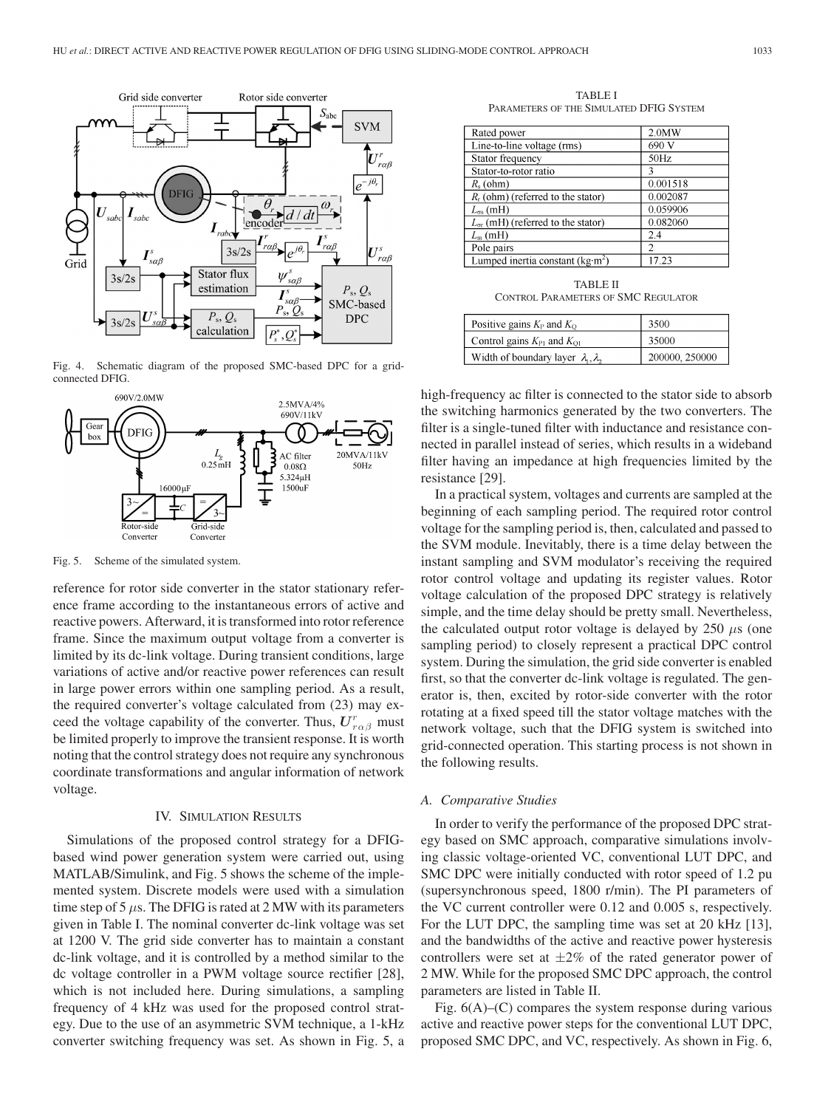

Fig. 4. Schematic diagram of the proposed SMC-based DPC for a gridconnected DFIG.



Fig. 5. Scheme of the simulated system.

reference for rotor side converter in the stator stationary reference frame according to the instantaneous errors of active and reactive powers. Afterward, it is transformed into rotor reference frame. Since the maximum output voltage from a converter is limited by its dc-link voltage. During transient conditions, large variations of active and/or reactive power references can result in large power errors within one sampling period. As a result, the required converter's voltage calculated from (23) may exceed the voltage capability of the converter. Thus,  $\mathbf{U}_{r \alpha \beta}^r$  must be limited properly to improve the transient response. It is worth noting that the control strategy does not require any synchronous coordinate transformations and angular information of network voltage.

## IV. SIMULATION RESULTS

Simulations of the proposed control strategy for a DFIGbased wind power generation system were carried out, using MATLAB/Simulink, and Fig. 5 shows the scheme of the implemented system. Discrete models were used with a simulation time step of 5  $\mu$ s. The DFIG is rated at 2 MW with its parameters given in Table I. The nominal converter dc-link voltage was set at 1200 V. The grid side converter has to maintain a constant dc-link voltage, and it is controlled by a method similar to the dc voltage controller in a PWM voltage source rectifier [28], which is not included here. During simulations, a sampling frequency of 4 kHz was used for the proposed control strategy. Due to the use of an asymmetric SVM technique, a 1-kHz converter switching frequency was set. As shown in Fig. 5, a

TABLE I PARAMETERS OF THE SIMULATED DFIG SYSTEM

| Rated power                                   | 2.0MW    |
|-----------------------------------------------|----------|
| Line-to-line voltage (rms)                    | 690 V    |
| Stator frequency                              | 50Hz     |
| Stator-to-rotor ratio                         | 3        |
| $R_s$ (ohm)                                   | 0.001518 |
| $R_{r}$ (ohm) (referred to the stator)        | 0.002087 |
| $L_{\sigma s}$ (mH)                           | 0.059906 |
| $L_{\text{or}}$ (mH) (referred to the stator) | 0.082060 |
| $L_m$ (mH)                                    | 2.4      |
| Pole pairs                                    | 2        |
| Lumped inertia constant ( $kg·m2$ )           | 17.23    |

TABLE II CONTROL PARAMETERS OF SMC REGULATOR

| Positive gains $K_P$ and $K_Q$                 | 3500           |
|------------------------------------------------|----------------|
| Control gains $K_{\rm Pl}$ and $K_{\rm Q1}$    | 35000          |
| Width of boundary layer $\lambda_1, \lambda_2$ | 200000, 250000 |

high-frequency ac filter is connected to the stator side to absorb the switching harmonics generated by the two converters. The filter is a single-tuned filter with inductance and resistance connected in parallel instead of series, which results in a wideband filter having an impedance at high frequencies limited by the resistance [29].

In a practical system, voltages and currents are sampled at the beginning of each sampling period. The required rotor control voltage for the sampling period is, then, calculated and passed to the SVM module. Inevitably, there is a time delay between the instant sampling and SVM modulator's receiving the required rotor control voltage and updating its register values. Rotor voltage calculation of the proposed DPC strategy is relatively simple, and the time delay should be pretty small. Nevertheless, the calculated output rotor voltage is delayed by 250  $\mu$ s (one sampling period) to closely represent a practical DPC control system. During the simulation, the grid side converter is enabled first, so that the converter dc-link voltage is regulated. The generator is, then, excited by rotor-side converter with the rotor rotating at a fixed speed till the stator voltage matches with the network voltage, such that the DFIG system is switched into grid-connected operation. This starting process is not shown in the following results.

#### *A. Comparative Studies*

In order to verify the performance of the proposed DPC strategy based on SMC approach, comparative simulations involving classic voltage-oriented VC, conventional LUT DPC, and SMC DPC were initially conducted with rotor speed of 1.2 pu (supersynchronous speed, 1800 r/min). The PI parameters of the VC current controller were 0.12 and 0.005 s, respectively. For the LUT DPC, the sampling time was set at 20 kHz [13], and the bandwidths of the active and reactive power hysteresis controllers were set at  $\pm 2\%$  of the rated generator power of 2 MW. While for the proposed SMC DPC approach, the control parameters are listed in Table II.

Fig.  $6(A)$ – $(C)$  compares the system response during various active and reactive power steps for the conventional LUT DPC, proposed SMC DPC, and VC, respectively. As shown in Fig. 6,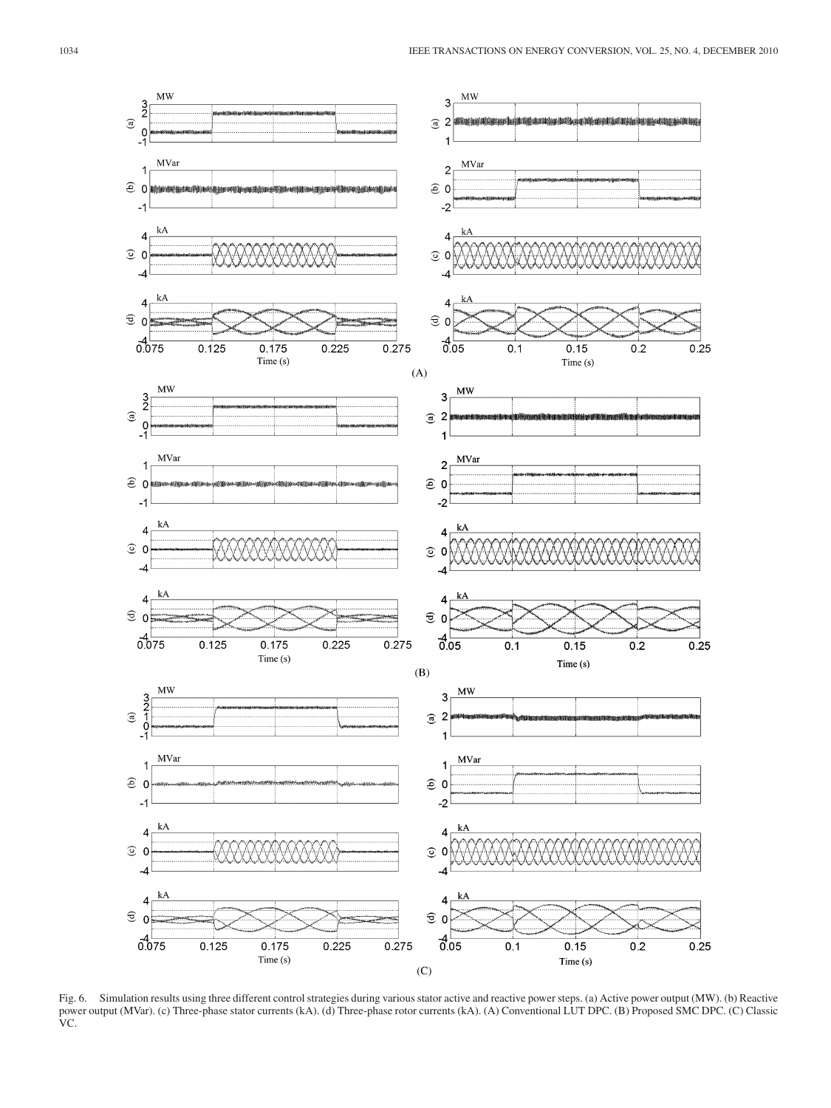

Fig. 6. Simulation results using three different control strategies during various stator active and reactive power steps. (a) Active power output (MW). (b) Reactive power output (MVar). (c) Three-phase stator currents (kA). (d) Three-phase rotor currents (kA). (A) Conventional LUT DPC. (B) Proposed SMC DPC. (C) Classic VC.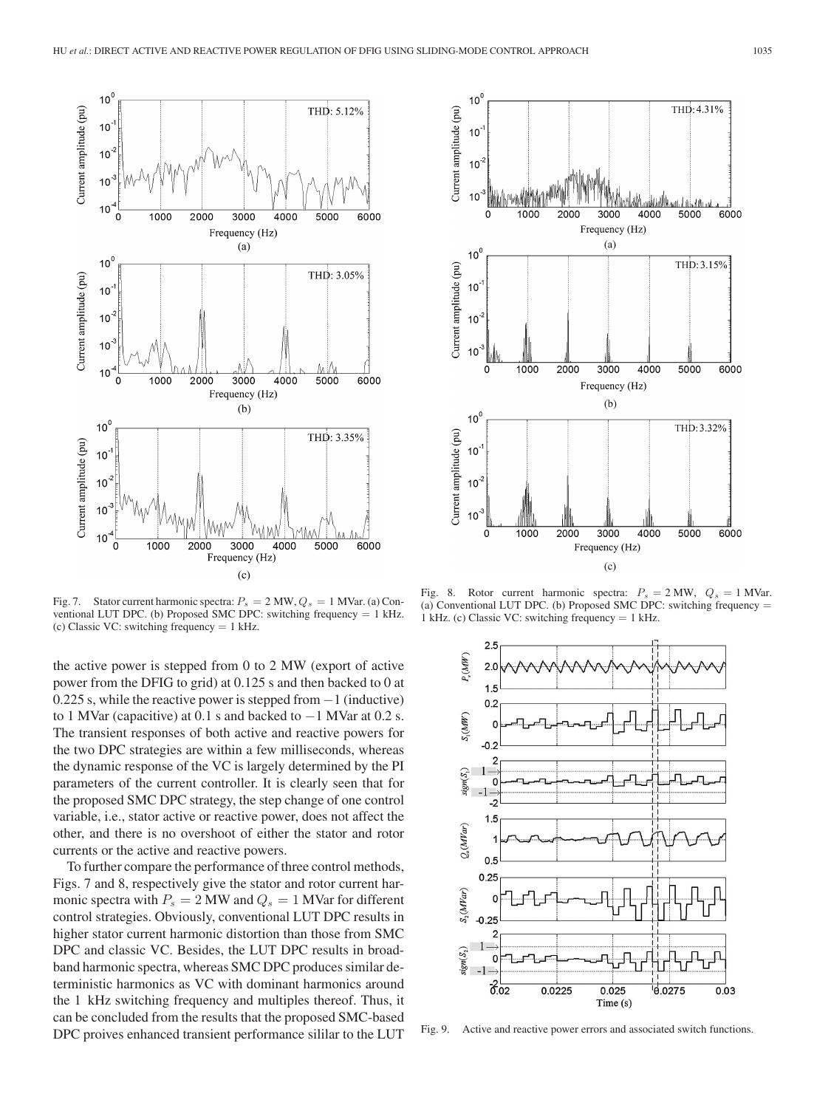

Fig. 7. Stator current harmonic spectra:  $P_s = 2$  MW,  $Q_s = 1$  MVar. (a) Conventional LUT DPC. (b) Proposed SMC DPC: switching frequency = 1 kHz. (c) Classic VC: switching frequency = 1 kHz.

the active power is stepped from 0 to 2 MW (export of active power from the DFIG to grid) at 0.125 s and then backed to 0 at 0.225 s, while the reactive power is stepped from −1 (inductive) to 1 MVar (capacitive) at 0.1 s and backed to  $-1$  MVar at 0.2 s. The transient responses of both active and reactive powers for the two DPC strategies are within a few milliseconds, whereas the dynamic response of the VC is largely determined by the PI parameters of the current controller. It is clearly seen that for the proposed SMC DPC strategy, the step change of one control variable, i.e., stator active or reactive power, does not affect the other, and there is no overshoot of either the stator and rotor currents or the active and reactive powers.

To further compare the performance of three control methods, Figs. 7 and 8, respectively give the stator and rotor current harmonic spectra with  $P_s = 2$  MW and  $Q_s = 1$  MVar for different control strategies. Obviously, conventional LUT DPC results in higher stator current harmonic distortion than those from SMC DPC and classic VC. Besides, the LUT DPC results in broadband harmonic spectra, whereas SMC DPC produces similar deterministic harmonics as VC with dominant harmonics around the 1 kHz switching frequency and multiples thereof. Thus, it can be concluded from the results that the proposed SMC-based DPC proives enhanced transient performance sililar to the LUT



Fig. 8. Rotor current harmonic spectra:  $P_s = 2 \text{ MW}, Q_s = 1 \text{ WVar}.$ (a) Conventional LUT DPC. (b) Proposed SMC DPC: switching frequency = 1 kHz. (c) Classic VC: switching frequency = 1 kHz.



Fig. 9. Active and reactive power errors and associated switch functions.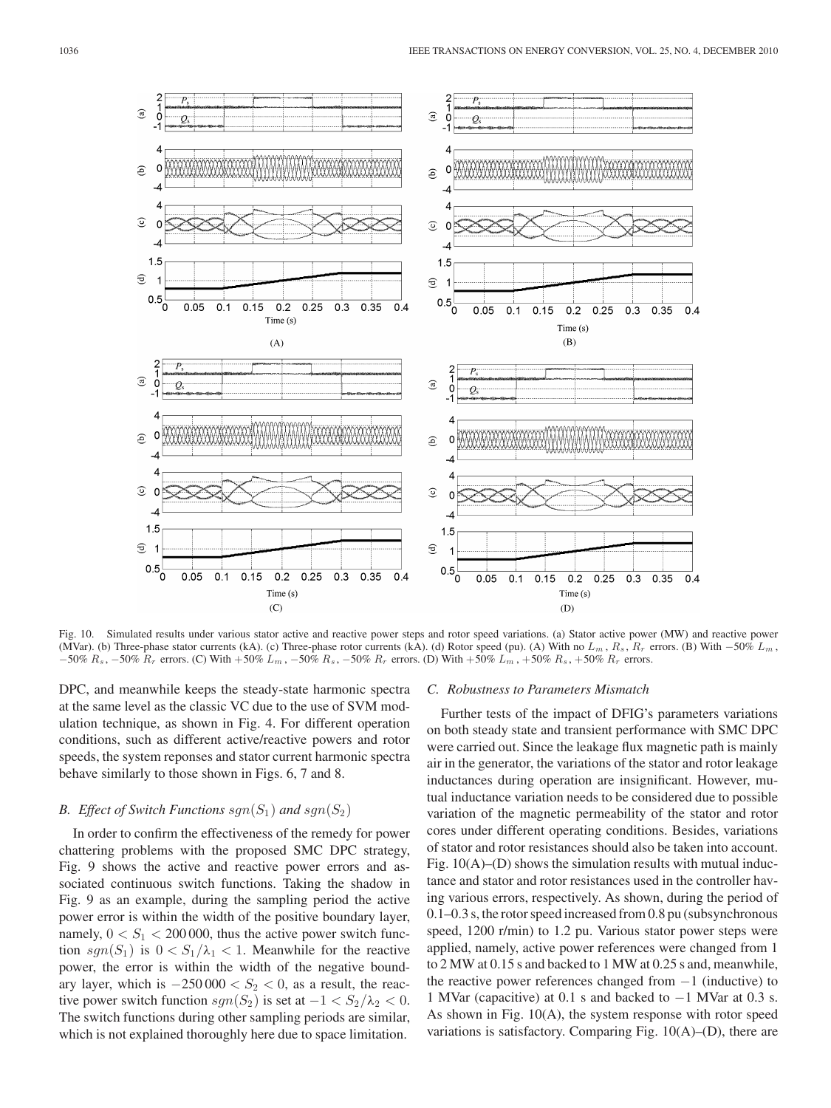

Fig. 10. Simulated results under various stator active and reactive power steps and rotor speed variations. (a) Stator active power (MW) and reactive power (MVar). (b) Three-phase stator currents (kA). (c) Three-phase rotor currents (kA). (d) Rotor speed (pu). (A) With no  $L_m$ ,  $R_s$ ,  $R_r$  errors. (B) With −50%  $L_m$ ,  $-50\% R_s$ ,  $-50\% R_r$  errors. (C) With  $+50\% L_m$ ,  $-50\% R_s$ ,  $-50\% R_r$  errors. (D) With  $+50\% L_m$ ,  $+50\% R_s$ ,  $+50\% R_r$  errors.

DPC, and meanwhile keeps the steady-state harmonic spectra at the same level as the classic VC due to the use of SVM modulation technique, as shown in Fig. 4. For different operation conditions, such as different active/reactive powers and rotor speeds, the system reponses and stator current harmonic spectra behave similarly to those shown in Figs. 6, 7 and 8.

## *B. Effect of Switch Functions*  $sgn(S_1)$  *and*  $sgn(S_2)$

In order to confirm the effectiveness of the remedy for power chattering problems with the proposed SMC DPC strategy, Fig. 9 shows the active and reactive power errors and associated continuous switch functions. Taking the shadow in Fig. 9 as an example, during the sampling period the active power error is within the width of the positive boundary layer, namely,  $0 < S_1 < 200000$ , thus the active power switch function  $sgn(S_1)$  is  $0 < S_1/\lambda_1 < 1$ . Meanwhile for the reactive power, the error is within the width of the negative boundary layer, which is  $-250\,000 < S_2 < 0$ , as a result, the reactive power switch function  $sgn(S_2)$  is set at  $-1 < S_2/\lambda_2 < 0$ . The switch functions during other sampling periods are similar, which is not explained thoroughly here due to space limitation.

## *C. Robustness to Parameters Mismatch*

Further tests of the impact of DFIG's parameters variations on both steady state and transient performance with SMC DPC were carried out. Since the leakage flux magnetic path is mainly air in the generator, the variations of the stator and rotor leakage inductances during operation are insignificant. However, mutual inductance variation needs to be considered due to possible variation of the magnetic permeability of the stator and rotor cores under different operating conditions. Besides, variations of stator and rotor resistances should also be taken into account. Fig.  $10(A)$ –(D) shows the simulation results with mutual inductance and stator and rotor resistances used in the controller having various errors, respectively. As shown, during the period of 0.1–0.3 s, the rotor speed increased from 0.8 pu (subsynchronous speed, 1200 r/min) to 1.2 pu. Various stator power steps were applied, namely, active power references were changed from 1 to 2 MW at 0.15 s and backed to 1 MW at 0.25 s and, meanwhile, the reactive power references changed from  $-1$  (inductive) to 1 MVar (capacitive) at 0.1 s and backed to −1 MVar at 0.3 s. As shown in Fig. 10(A), the system response with rotor speed variations is satisfactory. Comparing Fig. 10(A)–(D), there are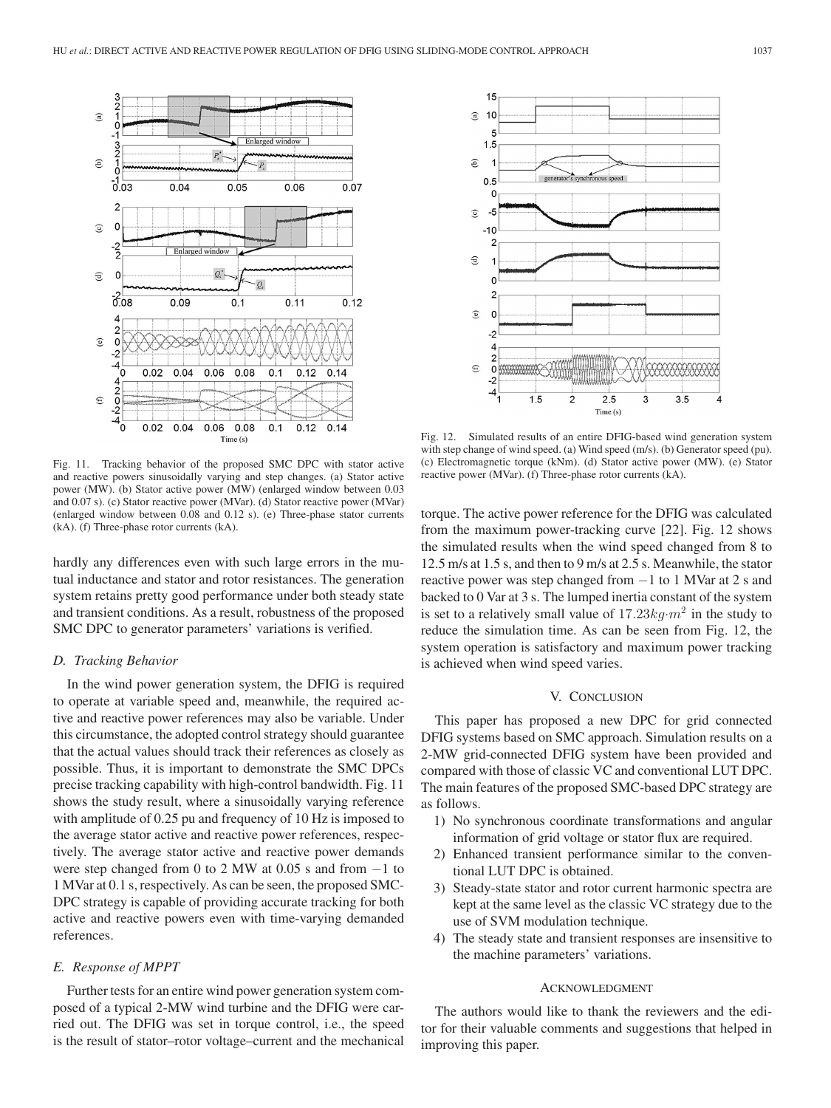

Fig. 11. Tracking behavior of the proposed SMC DPC with stator active and reactive powers sinusoidally varying and step changes. (a) Stator active power (MW). (b) Stator active power (MW) (enlarged window between 0.03 and 0.07 s). (c) Stator reactive power (MVar). (d) Stator reactive power (MVar) (enlarged window between 0.08 and 0.12 s). (e) Three-phase stator currents (kA). (f) Three-phase rotor currents (kA).

hardly any differences even with such large errors in the mutual inductance and stator and rotor resistances. The generation system retains pretty good performance under both steady state and transient conditions. As a result, robustness of the proposed SMC DPC to generator parameters' variations is verified.

## *D. Tracking Behavior*

In the wind power generation system, the DFIG is required to operate at variable speed and, meanwhile, the required active and reactive power references may also be variable. Under this circumstance, the adopted control strategy should guarantee that the actual values should track their references as closely as possible. Thus, it is important to demonstrate the SMC DPCs precise tracking capability with high-control bandwidth. Fig. 11 shows the study result, where a sinusoidally varying reference with amplitude of 0.25 pu and frequency of 10 Hz is imposed to the average stator active and reactive power references, respectively. The average stator active and reactive power demands were step changed from 0 to 2 MW at 0.05 s and from −1 to 1 MVar at 0.1 s, respectively. As can be seen, the proposed SMC-DPC strategy is capable of providing accurate tracking for both active and reactive powers even with time-varying demanded references.

## *E. Response of MPPT*

Further tests for an entire wind power generation system composed of a typical 2-MW wind turbine and the DFIG were carried out. The DFIG was set in torque control, i.e., the speed is the result of stator–rotor voltage–current and the mechanical



Fig. 12. Simulated results of an entire DFIG-based wind generation system with step change of wind speed. (a) Wind speed (m/s). (b) Generator speed (pu). (c) Electromagnetic torque (kNm). (d) Stator active power (MW). (e) Stator reactive power (MVar). (f) Three-phase rotor currents (kA).

torque. The active power reference for the DFIG was calculated from the maximum power-tracking curve [22]. Fig. 12 shows the simulated results when the wind speed changed from 8 to 12.5 m/s at 1.5 s, and then to 9 m/s at 2.5 s. Meanwhile, the stator reactive power was step changed from −1 to 1 MVar at 2 s and backed to 0 Var at 3 s. The lumped inertia constant of the system is set to a relatively small value of  $17.23kg·m<sup>2</sup>$  in the study to reduce the simulation time. As can be seen from Fig. 12, the system operation is satisfactory and maximum power tracking is achieved when wind speed varies.

#### V. CONCLUSION

This paper has proposed a new DPC for grid connected DFIG systems based on SMC approach. Simulation results on a 2-MW grid-connected DFIG system have been provided and compared with those of classic VC and conventional LUT DPC. The main features of the proposed SMC-based DPC strategy are as follows.

- 1) No synchronous coordinate transformations and angular information of grid voltage or stator flux are required.
- 2) Enhanced transient performance similar to the conventional LUT DPC is obtained.
- 3) Steady-state stator and rotor current harmonic spectra are kept at the same level as the classic VC strategy due to the use of SVM modulation technique.
- 4) The steady state and transient responses are insensitive to the machine parameters' variations.

#### ACKNOWLEDGMENT

The authors would like to thank the reviewers and the editor for their valuable comments and suggestions that helped in improving this paper.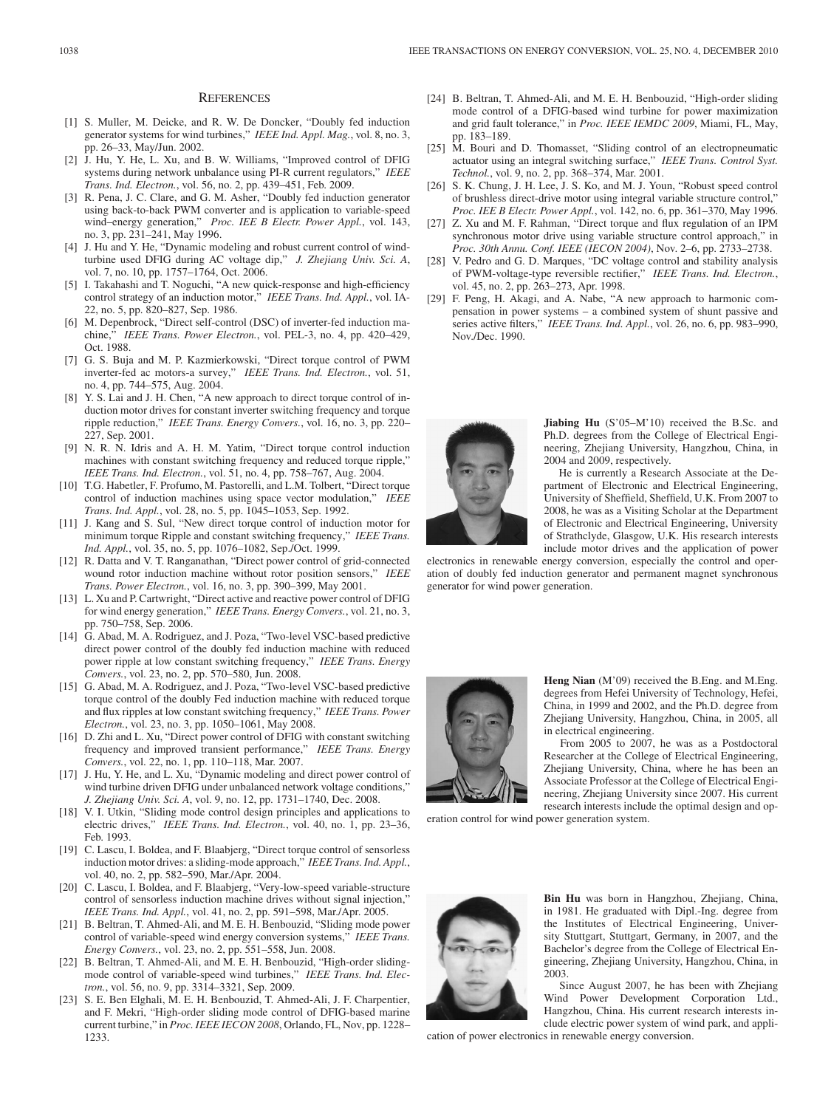#### **REFERENCES**

- [1] S. Muller, M. Deicke, and R. W. De Doncker, "Doubly fed induction generator systems for wind turbines," *IEEE Ind. Appl. Mag.*, vol. 8, no. 3, pp. 26–33, May/Jun. 2002.
- [2] J. Hu, Y. He, L. Xu, and B. W. Williams, "Improved control of DFIG systems during network unbalance using PI-R current regulators," *IEEE Trans. Ind. Electron.*, vol. 56, no. 2, pp. 439–451, Feb. 2009.
- [3] R. Pena, J. C. Clare, and G. M. Asher, "Doubly fed induction generator using back-to-back PWM converter and is application to variable-speed wind–energy generation," *Proc. IEE B Electr. Power Appl.*, vol. 143, no. 3, pp. 231–241, May 1996.
- [4] J. Hu and Y. He, "Dynamic modeling and robust current control of windturbine used DFIG during AC voltage dip," *J. Zhejiang Univ. Sci. A*, vol. 7, no. 10, pp. 1757–1764, Oct. 2006.
- [5] I. Takahashi and T. Noguchi, "A new quick-response and high-efficiency control strategy of an induction motor," *IEEE Trans. Ind. Appl.*, vol. IA-22, no. 5, pp. 820–827, Sep. 1986.
- [6] M. Depenbrock, "Direct self-control (DSC) of inverter-fed induction machine," *IEEE Trans. Power Electron.*, vol. PEL-3, no. 4, pp. 420–429, Oct. 1988.
- [7] G. S. Buja and M. P. Kazmierkowski, "Direct torque control of PWM inverter-fed ac motors-a survey," *IEEE Trans. Ind. Electron.*, vol. 51, no. 4, pp. 744–575, Aug. 2004.
- Y. S. Lai and J. H. Chen, "A new approach to direct torque control of induction motor drives for constant inverter switching frequency and torque ripple reduction," *IEEE Trans. Energy Convers.*, vol. 16, no. 3, pp. 220– 227, Sep. 2001.
- [9] N. R. N. Idris and A. H. M. Yatim, "Direct torque control induction machines with constant switching frequency and reduced torque ripple," *IEEE Trans. Ind. Electron.*, vol. 51, no. 4, pp. 758–767, Aug. 2004.
- [10] T.G. Habetler, F. Profumo, M. Pastorelli, and L.M. Tolbert, "Direct torque control of induction machines using space vector modulation," *IEEE Trans. Ind. Appl.*, vol. 28, no. 5, pp. 1045–1053, Sep. 1992.
- [11] J. Kang and S. Sul, "New direct torque control of induction motor for minimum torque Ripple and constant switching frequency," *IEEE Trans. Ind. Appl.*, vol. 35, no. 5, pp. 1076–1082, Sep./Oct. 1999.
- [12] R. Datta and V. T. Ranganathan, "Direct power control of grid-connected wound rotor induction machine without rotor position sensors," *IEEE Trans. Power Electron.*, vol. 16, no. 3, pp. 390–399, May 2001.
- [13] L. Xu and P. Cartwright, "Direct active and reactive power control of DFIG for wind energy generation," *IEEE Trans. Energy Convers.*, vol. 21, no. 3, pp. 750–758, Sep. 2006.
- [14] G. Abad, M. A. Rodriguez, and J. Poza, "Two-level VSC-based predictive direct power control of the doubly fed induction machine with reduced power ripple at low constant switching frequency," *IEEE Trans. Energy Convers.*, vol. 23, no. 2, pp. 570–580, Jun. 2008.
- [15] G. Abad, M. A. Rodriguez, and J. Poza, "Two-level VSC-based predictive torque control of the doubly Fed induction machine with reduced torque and flux ripples at low constant switching frequency," *IEEE Trans. Power Electron.*, vol. 23, no. 3, pp. 1050–1061, May 2008.
- [16] D. Zhi and L. Xu, "Direct power control of DFIG with constant switching frequency and improved transient performance," *IEEE Trans. Energy Convers.*, vol. 22, no. 1, pp. 110–118, Mar. 2007.
- [17] J. Hu, Y. He, and L. Xu, "Dynamic modeling and direct power control of wind turbine driven DFIG under unbalanced network voltage conditions," *J. Zhejiang Univ. Sci. A*, vol. 9, no. 12, pp. 1731–1740, Dec. 2008.
- [18] V. I. Utkin, "Sliding mode control design principles and applications to electric drives," *IEEE Trans. Ind. Electron.*, vol. 40, no. 1, pp. 23–36, Feb. 1993.
- [19] C. Lascu, I. Boldea, and F. Blaabjerg, "Direct torque control of sensorless induction motor drives: a sliding-mode approach," *IEEE Trans. Ind. Appl.*, vol. 40, no. 2, pp. 582–590, Mar./Apr. 2004.
- [20] C. Lascu, I. Boldea, and F. Blaabjerg, "Very-low-speed variable-structure control of sensorless induction machine drives without signal injection," *IEEE Trans. Ind. Appl.*, vol. 41, no. 2, pp. 591–598, Mar./Apr. 2005.
- [21] B. Beltran, T. Ahmed-Ali, and M. E. H. Benbouzid, "Sliding mode power control of variable-speed wind energy conversion systems," *IEEE Trans. Energy Convers.*, vol. 23, no. 2, pp. 551–558, Jun. 2008.
- [22] B. Beltran, T. Ahmed-Ali, and M. E. H. Benbouzid, "High-order slidingmode control of variable-speed wind turbines," *IEEE Trans. Ind. Electron.*, vol. 56, no. 9, pp. 3314–3321, Sep. 2009.
- [23] S. E. Ben Elghali, M. E. H. Benbouzid, T. Ahmed-Ali, J. F. Charpentier, and F. Mekri, "High-order sliding mode control of DFIG-based marine current turbine," in *Proc. IEEE IECON 2008*, Orlando, FL, Nov, pp. 1228– 1233.
- [24] B. Beltran, T. Ahmed-Ali, and M. E. H. Benbouzid, "High-order sliding mode control of a DFIG-based wind turbine for power maximization and grid fault tolerance," in *Proc. IEEE IEMDC 2009*, Miami, FL, May, pp. 183–189.
- [25] M. Bouri and D. Thomasset, "Sliding control of an electropneumatic actuator using an integral switching surface," *IEEE Trans. Control Syst. Technol.*, vol. 9, no. 2, pp. 368–374, Mar. 2001.
- [26] S. K. Chung, J. H. Lee, J. S. Ko, and M. J. Youn, "Robust speed control of brushless direct-drive motor using integral variable structure control," *Proc. IEE B Electr. Power Appl.*, vol. 142, no. 6, pp. 361–370, May 1996.
- [27] Z. Xu and M. F. Rahman, "Direct torque and flux regulation of an IPM synchronous motor drive using variable structure control approach," in *Proc. 30th Annu. Conf. IEEE (IECON 2004)*, Nov. 2–6, pp. 2733–2738.
- [28] V. Pedro and G. D. Marques, "DC voltage control and stability analysis of PWM-voltage-type reversible rectifier," *IEEE Trans. Ind. Electron.*, vol. 45, no. 2, pp. 263–273, Apr. 1998.
- [29] F. Peng, H. Akagi, and A. Nabe, "A new approach to harmonic compensation in power systems – a combined system of shunt passive and series active filters," *IEEE Trans. Ind. Appl.*, vol. 26, no. 6, pp. 983–990, Nov./Dec. 1990.



**Jiabing Hu** (S'05–M'10) received the B.Sc. and Ph.D. degrees from the College of Electrical Engineering, Zhejiang University, Hangzhou, China, in 2004 and 2009, respectively.

He is currently a Research Associate at the Department of Electronic and Electrical Engineering, University of Sheffield, Sheffield, U.K. From 2007 to 2008, he was as a Visiting Scholar at the Department of Electronic and Electrical Engineering, University of Strathclyde, Glasgow, U.K. His research interests include motor drives and the application of power

electronics in renewable energy conversion, especially the control and operation of doubly fed induction generator and permanent magnet synchronous generator for wind power generation.



**Heng Nian** (M'09) received the B.Eng. and M.Eng. degrees from Hefei University of Technology, Hefei, China, in 1999 and 2002, and the Ph.D. degree from Zhejiang University, Hangzhou, China, in 2005, all in electrical engineering.

From 2005 to 2007, he was as a Postdoctoral Researcher at the College of Electrical Engineering, Zheijang University, China, where he has been an Associate Professor at the College of Electrical Engineering, Zhejiang University since 2007. His current research interests include the optimal design and op-

eration control for wind power generation system.



**Bin Hu** was born in Hangzhou, Zhejiang, China, in 1981. He graduated with Dipl.-Ing. degree from the Institutes of Electrical Engineering, University Stuttgart, Stuttgart, Germany, in 2007, and the Bachelor's degree from the College of Electrical Engineering, Zhejiang University, Hangzhou, China, in 2003.

Since August 2007, he has been with Zhejiang Wind Power Development Corporation Ltd., Hangzhou, China. His current research interests include electric power system of wind park, and appli-

cation of power electronics in renewable energy conversion.